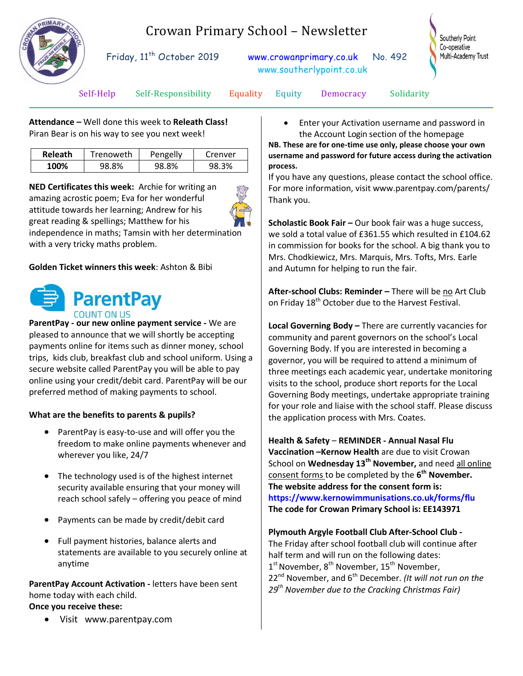

# Crowan Primary School – Newsletter

Friday, 11<sup>th</sup> October 2019 [www.crowanprimary.co.uk](http://www.crowanprimary.co.uk/) No. 492 www.southerlypoint.co.uk



Self-Help Self-Responsibility Equality Equity Democracy Solidarity

**Attendance –** Well done this week to **Releath Class!** Piran Bear is on his way to see you next week!

| <b>Releath</b> | Trenoweth | Pengelly | Crenver |
|----------------|-----------|----------|---------|
| 100%           | 98.8%     | 98.8%    | 98.3%   |

**NED Certificates this week:** Archie for writing an amazing acrostic poem; Eva for her wonderful attitude towards her learning; Andrew for his great reading & spellings; Matthew for his independence in maths; Tamsin with her determination with a very tricky maths problem.

**Golden Ticket winners this week**: Ashton & Bibi



**ParentPay - our new online payment service -** We are pleased to announce that we will shortly be accepting payments online for items such as dinner money, school trips, kids club, breakfast club and school uniform. Using a secure website called ParentPay you will be able to pay online using your credit/debit card. ParentPay will be our preferred method of making payments to school.

#### **What are the benefits to parents & pupils?**

- ParentPay is easy-to-use and will offer you the freedom to make online payments whenever and wherever you like, 24/7
- The technology used is of the highest internet security available ensuring that your money will reach school safely – offering you peace of mind
- Payments can be made by credit/debit card
- Full payment histories, balance alerts and statements are available to you securely online at anytime

**ParentPay Account Activation -** letters have been sent home today with each child. **Once you receive these:**

[Visit www.parentpay.com](http://www.parentpay.com/)

 Enter your Activation username and password in the Account Login section of the homepage

**NB. These are for one-time use only, please choose your own username and password for future access during the activation process.**

If you have any questions, please contact the school office. For more information, visit www.parentpay.com/parents/ Thank you.

**Scholastic Book Fair –** Our book fair was a huge success, we sold a total value of £361.55 which resulted in £104.62 in commission for books for the school. A big thank you to Mrs. Chodkiewicz, Mrs. Marquis, Mrs. Tofts, Mrs. Earle and Autumn for helping to run the fair.

After-school Clubs: Reminder - There will be no Art Club on Friday 18<sup>th</sup> October due to the Harvest Festival.

**Local Governing Body –** There are currently vacancies for community and parent governors on the school's Local Governing Body. If you are interested in becoming a governor, you will be required to attend a minimum of three meetings each academic year, undertake monitoring visits to the school, produce short reports for the Local Governing Body meetings, undertake appropriate training for your role and liaise with the school staff. Please discuss the application process with Mrs. Coates.

**Health & Safety** – **REMINDER - Annual Nasal Flu Vaccination –Kernow Health** are due to visit Crowan School on **Wednesday 13th November,** and need all online consent forms to be completed by the **6 th November. The website address for the consent form is: <https://www.kernowimmunisations.co.uk/forms/flu> The code for Crowan Primary School is: EE143971**

**Plymouth Argyle Football Club After-School Club -** The Friday after school football club will continue after half term and will run on the following dates: 1<sup>st</sup> November, 8<sup>th</sup> November, 15<sup>th</sup> November, 22<sup>nd</sup> November, and 6<sup>th</sup> December. *(It will not run on the 29th November due to the Cracking Christmas Fair)*